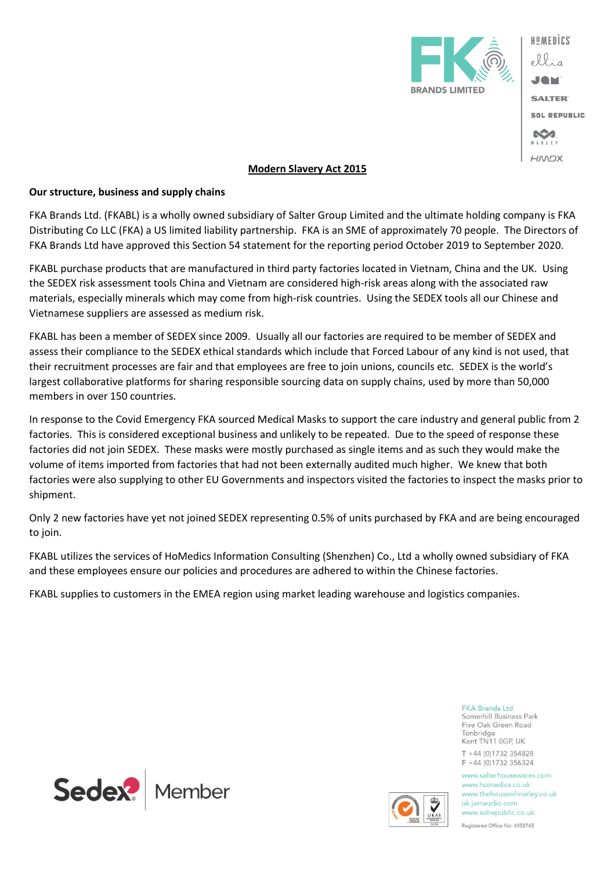

HŌWEDİCS. JAM **SALTER SOL REPUBLIC. NV** MARLEY

**HMDX** 

## **Modern Slavery Act 2015**

## **Our structure, business and supply chains**

FKA Brands Ltd. (FKABL) is a wholly owned subsidiary of Salter Group Limited and the ultimate holding company is FKA Distributing Co LLC (FKA) a US limited liability partnership. FKA is an SME of approximately 70 people. The Directors of FKA Brands Ltd have approved this Section 54 statement for the reporting period October 2019 to September 2020.

FKABL purchase products that are manufactured in third party factories located in Vietnam, China and the UK. Using the SEDEX risk assessment tools China and Vietnam are considered high-risk areas along with the associated raw materials, especially minerals which may come from high-risk countries. Using the SEDEX tools all our Chinese and Vietnamese suppliers are assessed as medium risk.

FKABL has been a member of SEDEX since 2009. Usually all our factories are required to be member of SEDEX and assess their compliance to the SEDEX ethical standards which include that Forced Labour of any kind is not used, that their recruitment processes are fair and that employees are free to join unions, councils etc. SEDEX is the world's largest collaborative platforms for sharing responsible sourcing data on supply chains, used by more than 50,000 members in over 150 countries.

In response to the Covid Emergency FKA sourced Medical Masks to support the care industry and general public from 2 factories. This is considered exceptional business and unlikely to be repeated. Due to the speed of response these factories did not join SEDEX. These masks were mostly purchased as single items and as such they would make the volume of items imported from factories that had not been externally audited much higher. We knew that both factories were also supplying to other EU Governments and inspectors visited the factories to inspect the masks prior to shipment.

Only 2 new factories have yet not joined SEDEX representing 0.5% of units purchased by FKA and are being encouraged to join.

FKABL utilizes the services of HoMedics Information Consulting (Shenzhen) Co., Ltd a wholly owned subsidiary of FKA and these employees ensure our policies and procedures are adhered to within the Chinese factories.

FKABL supplies to customers in the EMEA region using market leading warehouse and logistics companies.

**FKA Brands Ltd** Somerhill Business Park Five Oak Green Road Tonbridge Kent TN11 0GP, UK T +44 (0)1732 354828 F +44 (0)1732 356324

www.salterhousewares.com www.homedics.co.uk www.thehouseofmarley.co.uk uk.jamaudio.com www.solrepublic.co.uk Registered Office No: 4353765

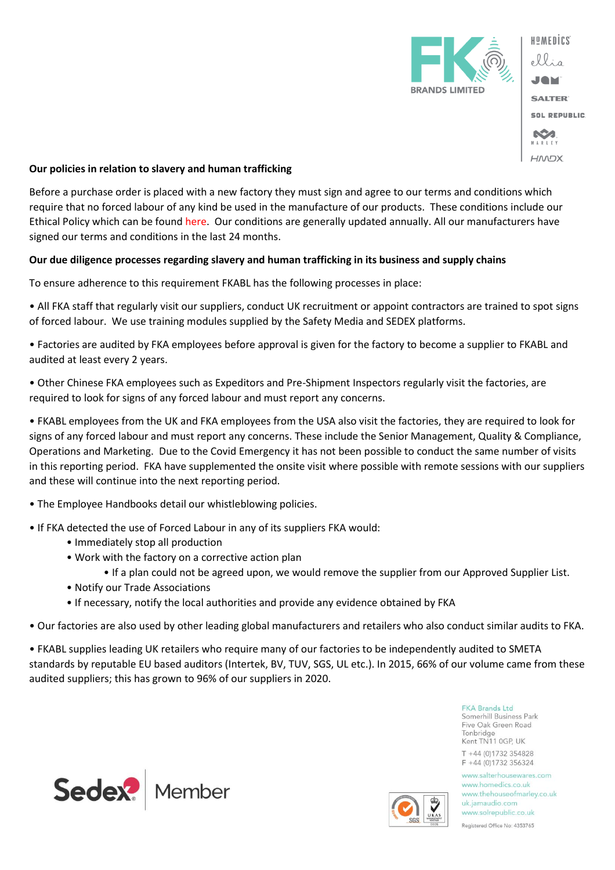

HŌWEDİCS. JAM **SALTER SOL REPUBLIC. NV** 

**HMDX** 

## **Our policies in relation to slavery and human trafficking**

Before a purchase order is placed with a new factory they must sign and agree to our terms and conditions which require that no forced labour of any kind be used in the manufacture of our products. These conditions include our Ethical Policy which can be found [here.](https://www.homedics.co.uk/ethical-policy) Our conditions are generally updated annually. All our manufacturers have signed our terms and conditions in the last 24 months.

## **Our due diligence processes regarding slavery and human trafficking in its business and supply chains**

To ensure adherence to this requirement FKABL has the following processes in place:

• All FKA staff that regularly visit our suppliers, conduct UK recruitment or appoint contractors are trained to spot signs of forced labour. We use training modules supplied by the Safety Media and SEDEX platforms.

• Factories are audited by FKA employees before approval is given for the factory to become a supplier to FKABL and audited at least every 2 years.

• Other Chinese FKA employees such as Expeditors and Pre-Shipment Inspectors regularly visit the factories, are required to look for signs of any forced labour and must report any concerns.

• FKABL employees from the UK and FKA employees from the USA also visit the factories, they are required to look for signs of any forced labour and must report any concerns. These include the Senior Management, Quality & Compliance, Operations and Marketing. Due to the Covid Emergency it has not been possible to conduct the same number of visits in this reporting period. FKA have supplemented the onsite visit where possible with remote sessions with our suppliers and these will continue into the next reporting period.

- The Employee Handbooks detail our whistleblowing policies.
- If FKA detected the use of Forced Labour in any of its suppliers FKA would:
	- Immediately stop all production
	- Work with the factory on a corrective action plan
		- If a plan could not be agreed upon, we would remove the supplier from our Approved Supplier List.
	- Notify our Trade Associations
	- If necessary, notify the local authorities and provide any evidence obtained by FKA

• Our factories are also used by other leading global manufacturers and retailers who also conduct similar audits to FKA.

• FKABL supplies leading UK retailers who require many of our factories to be independently audited to SMETA standards by reputable EU based auditors (Intertek, BV, TUV, SGS, UL etc.). In 2015, 66% of our volume came from these audited suppliers; this has grown to 96% of our suppliers in 2020.

> **FKA Brands Ltd** Somerhill Business Park Five Oak Green Road Tonbridge Kent TN11 0GP, UK T +44 (0)1732 354828 F +44 (0)1732 356324



www.salterhousewares.com www.homedics.co.uk www.thehouseofmarley.co.uk uk.jamaudio.com www.solrepublic.co.uk Registered Office No: 4353765